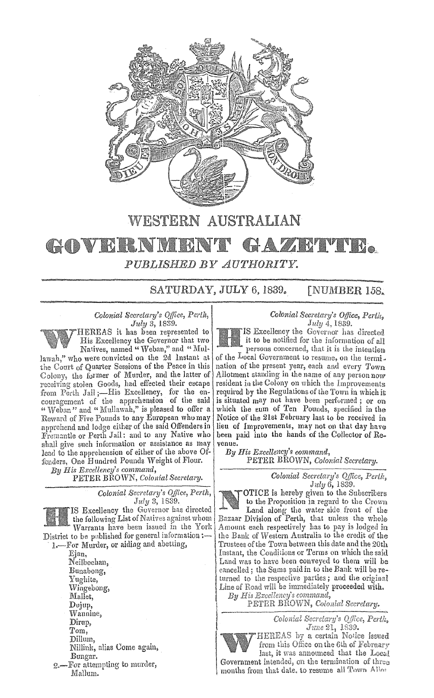

## **WESTERN AUSTRALIAN**

### HAZIETYTE. **COVERNME** PUBLISHED BY AUTHORITY.

SATURDAY, JULY 6, 1839.  $\Gamma$ NUMBER 158.

# Colonial Secretary's Office, Perth,

 $July\ 3,18\overline{3}9.$  HEREAS it has been represented to His Excellency the Governor that two Natives, named " Weban," and " Mul-

lawah," who were convicted on the 2d Instant at the Court of Quarter Sessions of the Peace in this Colony, the former of Murder, and the latter of stolen Goods, had effected their escape  $Jail := His$  Excellency, for the the apprehension of the said " and " Mullawah," is pleased to offer Reward of Five Pounds to any European who may apprehend and lodge either of the said Offenders in Fremantle or Perth Jail: and to any Native who shall give such information or assistance as may lead to the apprehension of either of the above Offenders, One Hundred Pounds Weight of Flour.

*His E.r:cellency's command,*  PETER BROWN, *Colonial Secretary*.

> Colonial Secretary's Office, Perth, July 3, 1839.

IS Excellency the Governor has directed the following List of Natives against whom Warrants have been issued in the York District to be published for general information :-

1.-For Murder, or aiding and abetting,

Ejan, Neilbochan, Bunabong, Yughite, Wingebong, Mallet, Dujup, '\Vannine, Dirup,<br>Tom, Dillum, Nillink, alias Come again, Bungar. 2. For attempting to murder, MaUum.

*Colonial Secretary's Office, Perth.* July 4, 1839.

IS Excellency the Governor has directed it to be notified for the information of all persons concerned, that it is the intention of the Local Government to resume, on the termination of the present year, each and every Town Allotment standing in the name of any person now resident in the Colony on which the Improvements required by the Regulations of the Town in which it may not have been performed; or on which the eum of Ten Pounds, specified in the Notice of the 21st February last to be received in lieu of Improvements, may not on that day have been paid into the hands of the Collector of Revenue.

*By His Excellency's command,*  PETER BROWN, Colonial Secretary.

> *Colonial Secretary's Office, Perth,* July 6, 1839.

OTICE is hereby given to the Subscribers to the Proposition in regard to the Crown Land along the water side front of the Bazaar Division of Perth, that unless the whole each respectively has to pay is lodged in the Bank of Western Australia to the credit of the Trustees of the Town between this date and the 20th Instant, the Conditions or Terms on which the said Land was to been conveyed to them will be cancelled; the Sums paid in to the Bank will be returned to the respective parties; and the original Line of Road will be immediately proceeded with.<br>By His Excellency's command,

PETER BROWN, Colonial Secretary.

Colonial Secretary's Office, Perth, June 21, 1839.<br>HEREAS by a certain Notice issued

from this Office on the 6th of February last, it was announced that the Local

Government intended, on the termination of three months from that date, to resume all Town Allor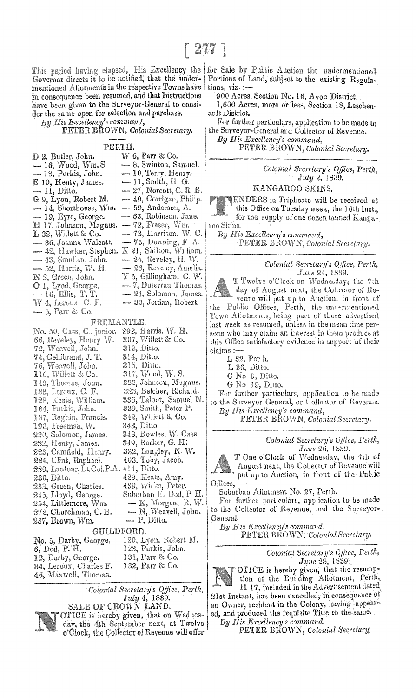This period having elapsed, His Excellency the Governor directs it to be notified, that the undermentioned Allotments in the respective Towns have in consequence been resumed, and that Instructions have been given to the Surveyor-General to consider the same open for selection and purchase.

Bu His Excellency's command,

*Colonial Secretary.* 

PERTH.

| $\mathcal{L}(\mathcal{L})$ . Then if the first section is a section of the section of $\mathcal{L}(\mathcal{L})$ |                         |
|------------------------------------------------------------------------------------------------------------------|-------------------------|
| D 2. Butler, John.                                                                                               | $W$ 6, Parr & Co.       |
| — 16, Wood, Wm. S.                                                                                               | - 8, Swinton, Samuel.   |
| — 18, Purkis, John.                                                                                              | $-10$ , Terry, Henry.   |
| E 10, Henty, James.                                                                                              | $-11$ , Smith, H. G.    |
| — 11, Ditto.                                                                                                     | — 27, Norcott, C. R. B. |
| G 9, Lyon, Robert M.                                                                                             | — 49, Corrigan, Philip. |
| 14, Shorthouse, Wm.                                                                                              | $-59$ , Anderson, A.    |
| — 19, Eyre, George.                                                                                              | — 63, Robinson, Jane.   |
| H 17, Johnson, Magnus.                                                                                           | - 72, Fraser, Wm.       |
| $L$ 32, Willett & Co.                                                                                            | — 73, Harrison, W. C.   |
| — 36, Joanna Walcott.                                                                                            | $-75$ , Downing, F. A.  |
| -42, Hawker, Stephen.                                                                                            | X 21, Shilton, William. |
| — 43, Smullen, John.                                                                                             | — 25, Reveley, H. W.    |
| — 52, Harris, W. H.                                                                                              | — 26, Reveley, Amelia.  |
| N 2, Green, John.                                                                                                | Y 5, Gillingham, C. W.  |
| O 1, Lyod, George.                                                                                               | — 7, Duterrau, Thomas.  |
| — 16, Ellis, T. T.                                                                                               | -24, Solomon, James.    |
| $W$ 4, Leroux, C: F.                                                                                             | — 33, Jordan, Robert.   |
| — 5. Parr & Co.                                                                                                  |                         |

#### FREMANTLE.

No. 50, Cass, C., junior. 292, Harris, W. H. 307, Willett & Co.<br>313, Ditto. 66, Reveley, Henry W.<br>72, Weavell, John. 74, Gellibrand, J. T. 314, Ditto. 315, Ditto. 76, Weavell, John. 317, Wood, W. S. 116, Willett & Co. 322, Johnson, Magnus. 143, Thomas, John. 323, Belcher, Richard.<br>326, Talbot, Samuel N.<br>339, Smith, Peter P. 183, Leroux, C. F. 128, Keats, William.<br>184, Purkis, John. 187, Reghin, Francis. 342, Willett & Co. 198, Freeman, W. 343, Ditto. 348, Bowles, W. Cass. 220, Solomon, James. 222, Henty, James. 349, Barker, G. H. 382, Langley, N. W.<br>403, Toby, Jacob. 223, Camfield, Henry. 224, Clint, Raphael. 403, Toby, 229, Lautour, Lt.Col.P.A. 414, Ditto. 230, Ditto. 429, Keats, Amy. **233,**  439, Wicks, Peter. Suburban E. Dod, P H. 245, Lloyd, George. 254, Littlemore, Wm. 272, Churchman, C.B. 237, Brown, Wm. GUILDFORD.<br>PETER BROWN, Colonial Secretary. 6, Dod, P. H. 123, Purkis, John.

12, Darby, George. 34, Leroux, Charles F. 46, Maxwell, Thomas.

131, Parr & Co. 132, Parr & Co.

·1

*Colonial Secretary's Office,*  July 4, 1839. SALE OF CROWN LAND.



for Sale by Public Auction the undermentioned Portions of Land, subject to the existing Regulations, viz. :-

900 Acres, Section No. 16, Avon District.

1,600 Acres, more or less, Section 18, Leschenault District.

For further particulars, application to be made to the Surveyor-General and Collector of Revenue.<br>By His Excellency's command,

PETER BROWN, Colonial Secretary.

*Colonial Secretary's Office, Perth,*  July 2, 1839.

### KANGAROO SKINS.

**ENDERS** in Triplicate will be received at this Office on Tuesday week, the 16th Inst., for the supply of one dozen tanned Kanga-

roo Skins.<br>By His Excellency's command, PETER BROWN, Colonial Secretary.

> Colonial Secretary's Office, Perth, June 24, 1839.

T Twelve o'Clock on Wednesday, the 7th day of August next, the Collector of Revenue will put up to Auction, in front of the Public Offices, Perth, the undermentioned<br>Town Allotments, being part of those advertised last week as resumed, unless in the mean time persons who may claim an interest in them produce at this Office satisfactory evidence in support of their claims:-

L 32, Perth.

L 36, Ditto.

G No 9, Ditto.

G No 19, Ditto.

For further particulars, application to be made to the Surveyor-General, or Collector of Revenue. By His Excellency's command,

PETER BROWN, Colonial Secretary.

*Colonial Secretary's Office, Perth, June 26, 1839.* 

T One o'Clock of Wednesday, the 7th of August next, the Collector of Revenue will put up to Auction, in front of the Public Offices,

Suburban Allotment No. 27, Perth.

For further particulars, application to be made General. to the Collector of Revenue, and the Surveyor-

Colonial Secretary's Office, Perth, *June 28*, 1839.

OTICE is hereby given, that the resumption of the Building Allotment, Perth, H 17, included in the Advertisement dated 21st Instant, has been cancelled, in consequence an Owner, resident in the Colony, having appeared, and produced the requisite Tide to the same.

fly *IUs Excellency's command,* 

PETER BROWN, *Colonial Secretary*